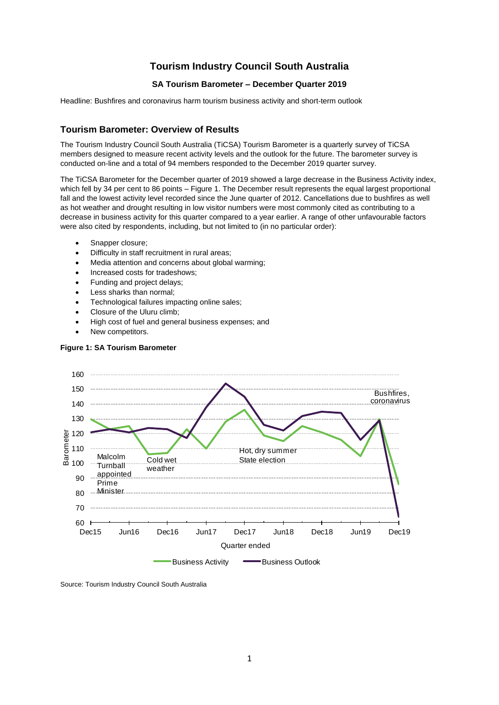# **Tourism Industry Council South Australia**

## **SA Tourism Barometer – December Quarter 2019**

Headline: Bushfires and coronavirus harm tourism business activity and short-term outlook

### **Tourism Barometer: Overview of Results**

The Tourism Industry Council South Australia (TiCSA) Tourism Barometer is a quarterly survey of TiCSA members designed to measure recent activity levels and the outlook for the future. The barometer survey is conducted on-line and a total of 94 members responded to the December 2019 quarter survey.

The TiCSA Barometer for the December quarter of 2019 showed a large decrease in the Business Activity index, which fell by 34 per cent to 86 points – Figure 1. The December result represents the equal largest proportional fall and the lowest activity level recorded since the June quarter of 2012. Cancellations due to bushfires as well as hot weather and drought resulting in low visitor numbers were most commonly cited as contributing to a decrease in business activity for this quarter compared to a year earlier. A range of other unfavourable factors were also cited by respondents, including, but not limited to (in no particular order):

- Snapper closure;
- Difficulty in staff recruitment in rural areas;
- Media attention and concerns about global warming;
- Increased costs for tradeshows;
- Funding and project delays;
- Less sharks than normal;
- Technological failures impacting online sales;
- Closure of the Uluru climb;
- High cost of fuel and general business expenses; and
- New competitors.



## **Figure 1: SA Tourism Barometer**

Source: Tourism Industry Council South Australia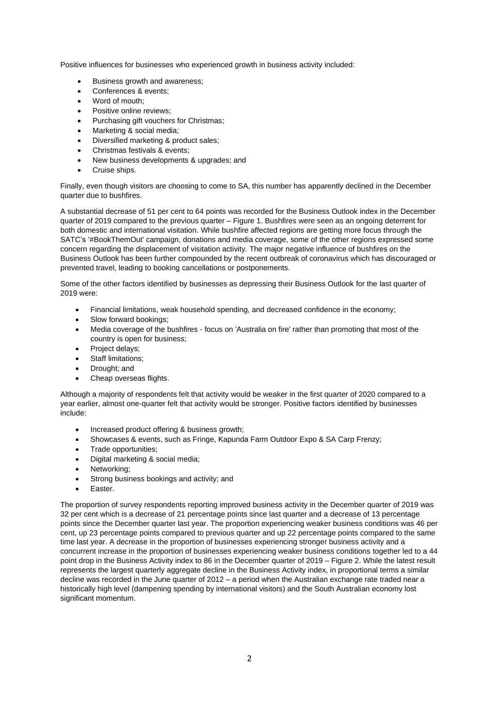Positive influences for businesses who experienced growth in business activity included:

- Business growth and awareness;
- Conferences & events:
- Word of mouth:
- Positive online reviews:
- Purchasing gift vouchers for Christmas;
- Marketing & social media;
- Diversified marketing & product sales;
- Christmas festivals & events;
- New business developments & upgrades; and
- Cruise ships.

Finally, even though visitors are choosing to come to SA, this number has apparently declined in the December quarter due to bushfires.

A substantial decrease of 51 per cent to 64 points was recorded for the Business Outlook index in the December quarter of 2019 compared to the previous quarter – Figure 1. Bushfires were seen as an ongoing deterrent for both domestic and international visitation. While bushfire affected regions are getting more focus through the SATC's '#BookThemOut' campaign, donations and media coverage, some of the other regions expressed some concern regarding the displacement of visitation activity. The major negative influence of bushfires on the Business Outlook has been further compounded by the recent outbreak of coronavirus which has discouraged or prevented travel, leading to booking cancellations or postponements.

Some of the other factors identified by businesses as depressing their Business Outlook for the last quarter of 2019 were:

- Financial limitations, weak household spending, and decreased confidence in the economy;
- Slow forward bookings;
- Media coverage of the bushfires focus on 'Australia on fire' rather than promoting that most of the country is open for business;
- Project delays:
- Staff limitations;
- Drought; and
- Cheap overseas flights.

Although a majority of respondents felt that activity would be weaker in the first quarter of 2020 compared to a year earlier, almost one-quarter felt that activity would be stronger. Positive factors identified by businesses include:

- Increased product offering & business growth;
- Showcases & events, such as Fringe, Kapunda Farm Outdoor Expo & SA Carp Frenzy;
- Trade opportunities;
- Digital marketing & social media;
- Networking;
- Strong business bookings and activity; and
- Easter.

The proportion of survey respondents reporting improved business activity in the December quarter of 2019 was 32 per cent which is a decrease of 21 percentage points since last quarter and a decrease of 13 percentage points since the December quarter last year. The proportion experiencing weaker business conditions was 46 per cent, up 23 percentage points compared to previous quarter and up 22 percentage points compared to the same time last year. A decrease in the proportion of businesses experiencing stronger business activity and a concurrent increase in the proportion of businesses experiencing weaker business conditions together led to a 44 point drop in the Business Activity index to 86 in the December quarter of 2019 – Figure 2. While the latest result represents the largest quarterly aggregate decline in the Business Activity index, in proportional terms a similar decline was recorded in the June quarter of 2012 – a period when the Australian exchange rate traded near a historically high level (dampening spending by international visitors) and the South Australian economy lost significant momentum.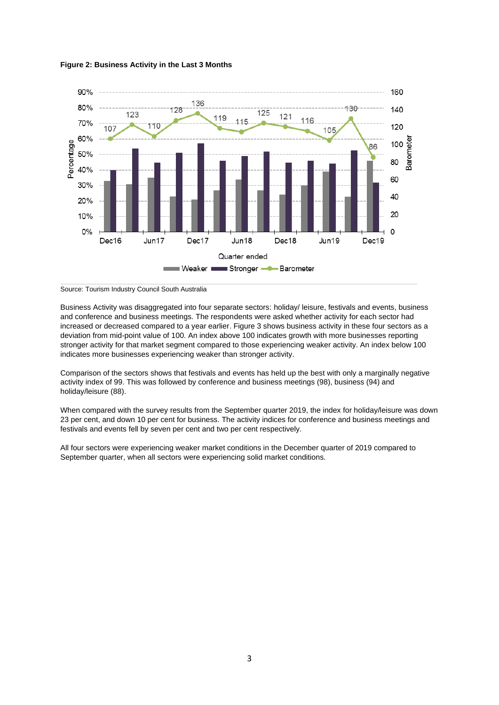



Source: Tourism Industry Council South Australia

Business Activity was disaggregated into four separate sectors: holiday/ leisure, festivals and events, business and conference and business meetings. The respondents were asked whether activity for each sector had increased or decreased compared to a year earlier. Figure 3 shows business activity in these four sectors as a deviation from mid-point value of 100. An index above 100 indicates growth with more businesses reporting stronger activity for that market segment compared to those experiencing weaker activity. An index below 100 indicates more businesses experiencing weaker than stronger activity.

Comparison of the sectors shows that festivals and events has held up the best with only a marginally negative activity index of 99. This was followed by conference and business meetings (98), business (94) and holiday/leisure (88).

When compared with the survey results from the September quarter 2019, the index for holiday/leisure was down 23 per cent, and down 10 per cent for business. The activity indices for conference and business meetings and festivals and events fell by seven per cent and two per cent respectively.

All four sectors were experiencing weaker market conditions in the December quarter of 2019 compared to September quarter, when all sectors were experiencing solid market conditions.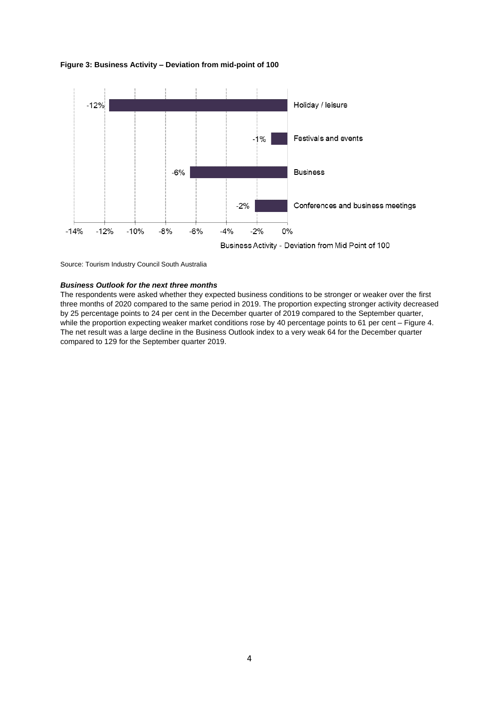#### **Figure 3: Business Activity – Deviation from mid-point of 100**



Source: Tourism Industry Council South Australia

### *Business Outlook for the next three months*

The respondents were asked whether they expected business conditions to be stronger or weaker over the first three months of 2020 compared to the same period in 2019. The proportion expecting stronger activity decreased by 25 percentage points to 24 per cent in the December quarter of 2019 compared to the September quarter, while the proportion expecting weaker market conditions rose by 40 percentage points to 61 per cent – Figure 4. The net result was a large decline in the Business Outlook index to a very weak 64 for the December quarter compared to 129 for the September quarter 2019.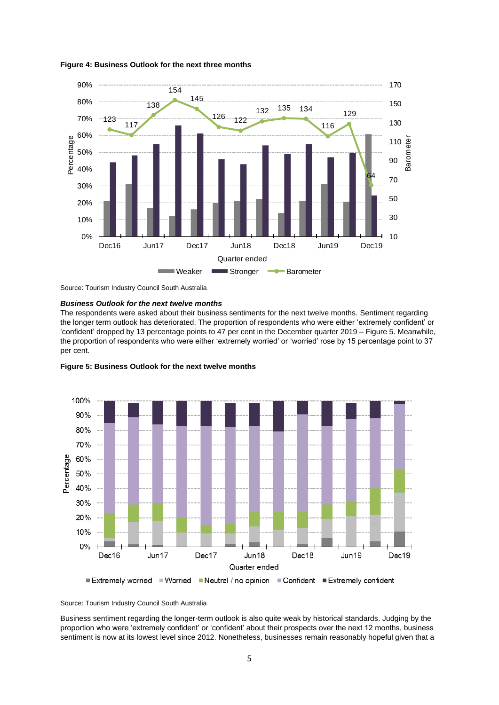

**Figure 4: Business Outlook for the next three months**

Source: Tourism Industry Council South Australia

#### *Business Outlook for the next twelve months*

The respondents were asked about their business sentiments for the next twelve months. Sentiment regarding the longer term outlook has deteriorated. The proportion of respondents who were either 'extremely confident' or 'confident' dropped by 13 percentage points to 47 per cent in the December quarter 2019 – Figure 5. Meanwhile, the proportion of respondents who were either 'extremely worried' or 'worried' rose by 15 percentage point to 37 per cent.





Business sentiment regarding the longer-term outlook is also quite weak by historical standards. Judging by the proportion who were 'extremely confident' or 'confident' about their prospects over the next 12 months, business sentiment is now at its lowest level since 2012. Nonetheless, businesses remain reasonably hopeful given that a

Source: Tourism Industry Council South Australia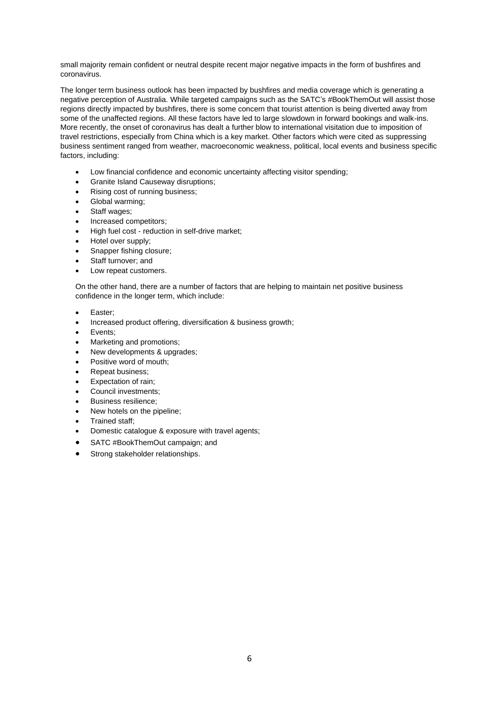small majority remain confident or neutral despite recent major negative impacts in the form of bushfires and coronavirus.

The longer term business outlook has been impacted by bushfires and media coverage which is generating a negative perception of Australia. While targeted campaigns such as the SATC's #BookThemOut will assist those regions directly impacted by bushfires, there is some concern that tourist attention is being diverted away from some of the unaffected regions. All these factors have led to large slowdown in forward bookings and walk-ins. More recently, the onset of coronavirus has dealt a further blow to international visitation due to imposition of travel restrictions, especially from China which is a key market. Other factors which were cited as suppressing business sentiment ranged from weather, macroeconomic weakness, political, local events and business specific factors, including:

- Low financial confidence and economic uncertainty affecting visitor spending;
- Granite Island Causeway disruptions;
- Rising cost of running business;
- Global warming;
- Staff wages;
- Increased competitors;
- High fuel cost reduction in self-drive market;
- Hotel over supply;
- Snapper fishing closure;
- Staff turnover; and
- Low repeat customers.

On the other hand, there are a number of factors that are helping to maintain net positive business confidence in the longer term, which include:

- Easter;
- Increased product offering, diversification & business growth;
- Events;
- Marketing and promotions;
- New developments & upgrades;
- Positive word of mouth;
- Repeat business;
- Expectation of rain:
- Council investments:
- Business resilience;
- New hotels on the pipeline:
- Trained staff;
- Domestic catalogue & exposure with travel agents;
- SATC #BookThemOut campaign; and
- Strong stakeholder relationships.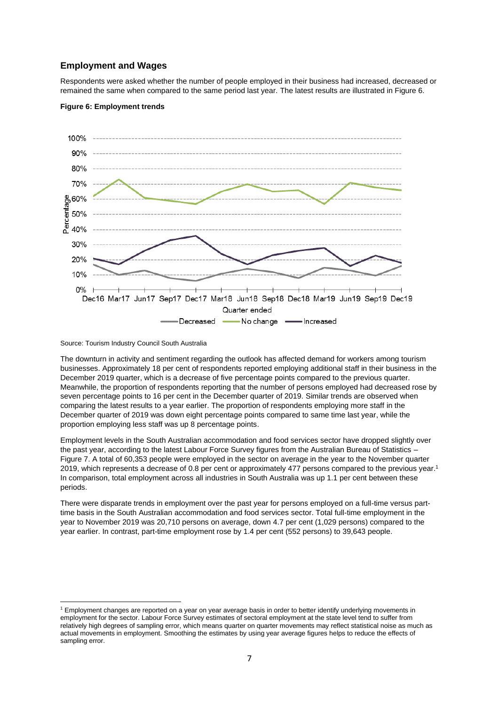## **Employment and Wages**

Respondents were asked whether the number of people employed in their business had increased, decreased or remained the same when compared to the same period last year. The latest results are illustrated in Figure 6.

### **Figure 6: Employment trends**



Source: Tourism Industry Council South Australia

The downturn in activity and sentiment regarding the outlook has affected demand for workers among tourism businesses. Approximately 18 per cent of respondents reported employing additional staff in their business in the December 2019 quarter, which is a decrease of five percentage points compared to the previous quarter. Meanwhile, the proportion of respondents reporting that the number of persons employed had decreased rose by seven percentage points to 16 per cent in the December quarter of 2019. Similar trends are observed when comparing the latest results to a year earlier. The proportion of respondents employing more staff in the December quarter of 2019 was down eight percentage points compared to same time last year, while the proportion employing less staff was up 8 percentage points.

Employment levels in the South Australian accommodation and food services sector have dropped slightly over the past year, according to the latest Labour Force Survey figures from the Australian Bureau of Statistics – Figure 7. A total of 60,353 people were employed in the sector on average in the year to the November quarter 2019, which represents a decrease of 0.8 per cent or approximately 477 persons compared to the previous year.<sup>1</sup> In comparison, total employment across all industries in South Australia was up 1.1 per cent between these periods.

There were disparate trends in employment over the past year for persons employed on a full-time versus parttime basis in the South Australian accommodation and food services sector. Total full-time employment in the year to November 2019 was 20,710 persons on average, down 4.7 per cent (1,029 persons) compared to the year earlier. In contrast, part-time employment rose by 1.4 per cent (552 persons) to 39,643 people.

<sup>1</sup> Employment changes are reported on a year on year average basis in order to better identify underlying movements in employment for the sector. Labour Force Survey estimates of sectoral employment at the state level tend to suffer from relatively high degrees of sampling error, which means quarter on quarter movements may reflect statistical noise as much as actual movements in employment. Smoothing the estimates by using year average figures helps to reduce the effects of sampling error.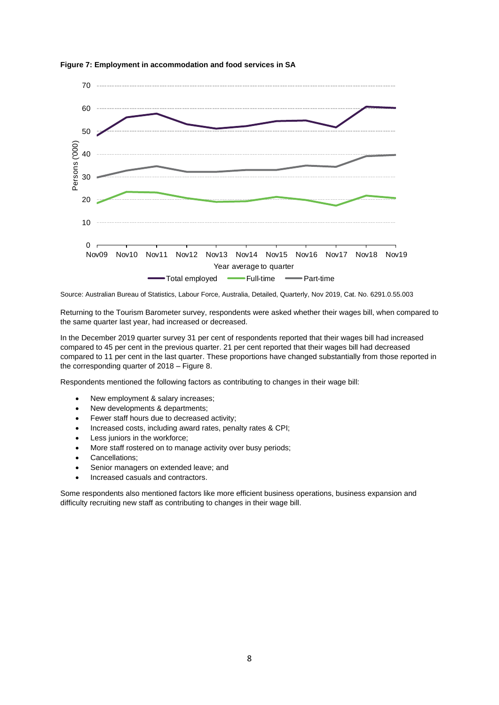

**Figure 7: Employment in accommodation and food services in SA**

Source: Australian Bureau of Statistics, Labour Force, Australia, Detailed, Quarterly, Nov 2019, Cat. No. 6291.0.55.003

Returning to the Tourism Barometer survey, respondents were asked whether their wages bill, when compared to the same quarter last year, had increased or decreased.

In the December 2019 quarter survey 31 per cent of respondents reported that their wages bill had increased compared to 45 per cent in the previous quarter. 21 per cent reported that their wages bill had decreased compared to 11 per cent in the last quarter. These proportions have changed substantially from those reported in the corresponding quarter of 2018 – Figure 8.

Respondents mentioned the following factors as contributing to changes in their wage bill:

- New employment & salary increases;
- New developments & departments;
- Fewer staff hours due to decreased activity;
- Increased costs, including award rates, penalty rates & CPI;
- Less juniors in the workforce;
- More staff rostered on to manage activity over busy periods;
- Cancellations;
- Senior managers on extended leave; and
- Increased casuals and contractors.

Some respondents also mentioned factors like more efficient business operations, business expansion and difficulty recruiting new staff as contributing to changes in their wage bill.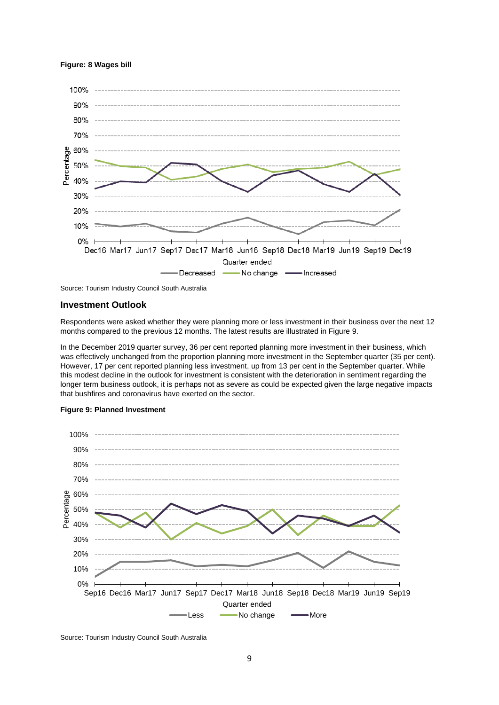### **Figure: 8 Wages bill**



Source: Tourism Industry Council South Australia

### **Investment Outlook**

Respondents were asked whether they were planning more or less investment in their business over the next 12 months compared to the previous 12 months. The latest results are illustrated in Figure 9.

In the December 2019 quarter survey, 36 per cent reported planning more investment in their business, which was effectively unchanged from the proportion planning more investment in the September quarter (35 per cent). However, 17 per cent reported planning less investment, up from 13 per cent in the September quarter. While this modest decline in the outlook for investment is consistent with the deterioration in sentiment regarding the longer term business outlook, it is perhaps not as severe as could be expected given the large negative impacts that bushfires and coronavirus have exerted on the sector.



#### **Figure 9: Planned Investment**

Source: Tourism Industry Council South Australia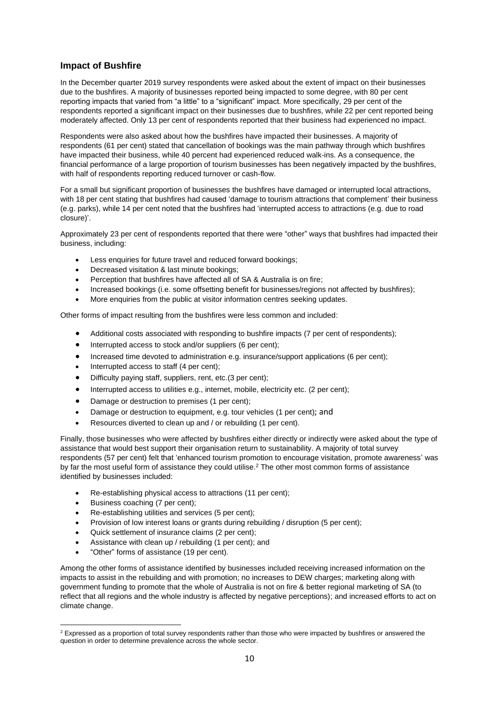## **Impact of Bushfire**

In the December quarter 2019 survey respondents were asked about the extent of impact on their businesses due to the bushfires. A majority of businesses reported being impacted to some degree, with 80 per cent reporting impacts that varied from "a little" to a "significant" impact. More specifically, 29 per cent of the respondents reported a significant impact on their businesses due to bushfires, while 22 per cent reported being moderately affected. Only 13 per cent of respondents reported that their business had experienced no impact.

Respondents were also asked about how the bushfires have impacted their businesses. A majority of respondents (61 per cent) stated that cancellation of bookings was the main pathway through which bushfires have impacted their business, while 40 percent had experienced reduced walk-ins. As a consequence, the financial performance of a large proportion of tourism businesses has been negatively impacted by the bushfires, with half of respondents reporting reduced turnover or cash-flow.

For a small but significant proportion of businesses the bushfires have damaged or interrupted local attractions, with 18 per cent stating that bushfires had caused 'damage to tourism attractions that complement' their business (e.g. parks), while 14 per cent noted that the bushfires had 'interrupted access to attractions (e.g. due to road closure)'.

Approximately 23 per cent of respondents reported that there were "other" ways that bushfires had impacted their business, including:

- Less enquiries for future travel and reduced forward bookings;
- Decreased visitation & last minute bookings;
- Perception that bushfires have affected all of SA & Australia is on fire;
- Increased bookings (i.e. some offsetting benefit for businesses/regions not affected by bushfires);
- More enquiries from the public at visitor information centres seeking updates.

Other forms of impact resulting from the bushfires were less common and included:

- Additional costs associated with responding to bushfire impacts (7 per cent of respondents);
- Interrupted access to stock and/or suppliers (6 per cent);
- Increased time devoted to administration e.g. insurance/support applications (6 per cent);
- Interrupted access to staff (4 per cent);
- Difficulty paying staff, suppliers, rent, etc.(3 per cent);
- Interrupted access to utilities e.g., internet, mobile, electricity etc. (2 per cent);
- Damage or destruction to premises (1 per cent);
- Damage or destruction to equipment, e.g. tour vehicles (1 per cent); and
- Resources diverted to clean up and / or rebuilding (1 per cent).

Finally, those businesses who were affected by bushfires either directly or indirectly were asked about the type of assistance that would best support their organisation return to sustainability. A majority of total survey respondents (57 per cent) felt that 'enhanced tourism promotion to encourage visitation, promote awareness' was by far the most useful form of assistance they could utilise.<sup>2</sup> The other most common forms of assistance identified by businesses included:

- Re-establishing physical access to attractions (11 per cent);
- Business coaching (7 per cent);
- Re-establishing utilities and services (5 per cent);
- Provision of low interest loans or grants during rebuilding / disruption (5 per cent);
- Quick settlement of insurance claims (2 per cent);
- Assistance with clean up / rebuilding (1 per cent); and
- "Other" forms of assistance (19 per cent).

Among the other forms of assistance identified by businesses included receiving increased information on the impacts to assist in the rebuilding and with promotion; no increases to DEW charges; marketing along with government funding to promote that the whole of Australia is not on fire & better regional marketing of SA (to reflect that all regions and the whole industry is affected by negative perceptions); and increased efforts to act on climate change.

<sup>&</sup>lt;sup>2</sup> Expressed as a proportion of total survey respondents rather than those who were impacted by bushfires or answered the question in order to determine prevalence across the whole sector.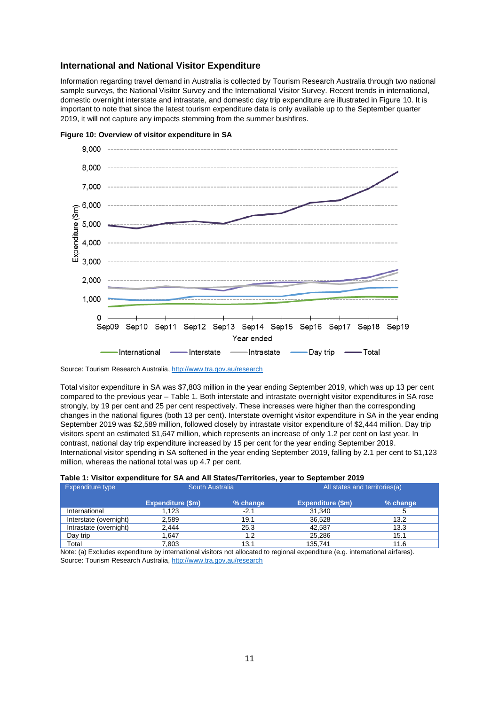## **International and National Visitor Expenditure**

Information regarding travel demand in Australia is collected by Tourism Research Australia through two national sample surveys, the National Visitor Survey and the International Visitor Survey. Recent trends in international, domestic overnight interstate and intrastate, and domestic day trip expenditure are illustrated in Figure 10. It is important to note that since the latest tourism expenditure data is only available up to the September quarter 2019, it will not capture any impacts stemming from the summer bushfires.



**Figure 10: Overview of visitor expenditure in SA**

Source: Tourism Research Australia, <http://www.tra.gov.au/research>

Total visitor expenditure in SA was \$7,803 million in the year ending September 2019, which was up 13 per cent compared to the previous year – Table 1. Both interstate and intrastate overnight visitor expenditures in SA rose strongly, by 19 per cent and 25 per cent respectively. These increases were higher than the corresponding changes in the national figures (both 13 per cent). Interstate overnight visitor expenditure in SA in the year ending September 2019 was \$2,589 million, followed closely by intrastate visitor expenditure of \$2,444 million. Day trip visitors spent an estimated \$1,647 million, which represents an increase of only 1.2 per cent on last year. In contrast, national day trip expenditure increased by 15 per cent for the year ending September 2019. International visitor spending in SA softened in the year ending September 2019, falling by 2.1 per cent to \$1,123 million, whereas the national total was up 4.7 per cent.

| Expenditure type       | South Australia          |          | All states and territories(a) |          |
|------------------------|--------------------------|----------|-------------------------------|----------|
|                        | <b>Expenditure (\$m)</b> | % change | <b>Expenditure (\$m)</b>      | % change |
| International          | 1.123                    | $-2.1$   | 31,340                        |          |
| Interstate (overnight) | 2,589                    | 19.1     | 36.528                        | 13.2     |
| Intrastate (overnight) | 2.444                    | 25.3     | 42.587                        | 13.3     |
| Day trip               | .647                     | 1.2      | 25.286                        | 15.1     |
| Total                  | 7,803                    | 13.1     | 135.741                       | 11.6     |

### **Table 1: Visitor expenditure for SA and All States/Territories, year to September 2019**

Note: (a) Excludes expenditure by international visitors not allocated to regional expenditure (e.g. international airfares). Source: Tourism Research Australia, <http://www.tra.gov.au/research>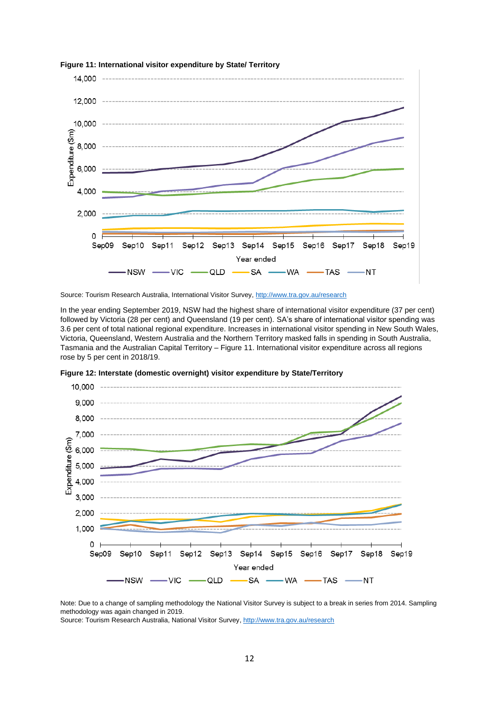

**Figure 11: International visitor expenditure by State/ Territory**

Source: Tourism Research Australia, International Visitor Survey, <http://www.tra.gov.au/research>

In the year ending September 2019, NSW had the highest share of international visitor expenditure (37 per cent) followed by Victoria (28 per cent) and Queensland (19 per cent). SA's share of international visitor spending was 3.6 per cent of total national regional expenditure. Increases in international visitor spending in New South Wales, Victoria, Queensland, Western Australia and the Northern Territory masked falls in spending in South Australia, Tasmania and the Australian Capital Territory – Figure 11. International visitor expenditure across all regions rose by 5 per cent in 2018/19.



**Figure 12: Interstate (domestic overnight) visitor expenditure by State/Territory**

Note: Due to a change of sampling methodology the National Visitor Survey is subject to a break in series from 2014. Sampling methodology was again changed in 2019.

Source: Tourism Research Australia, National Visitor Survey, <http://www.tra.gov.au/research>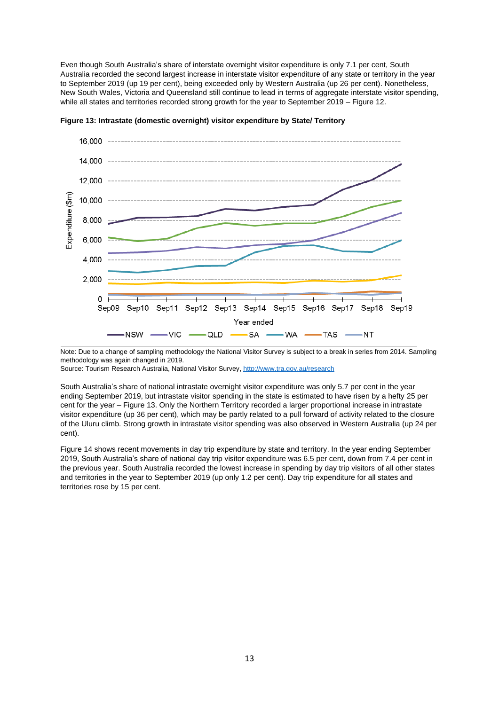Even though South Australia's share of interstate overnight visitor expenditure is only 7.1 per cent, South Australia recorded the second largest increase in interstate visitor expenditure of any state or territory in the year to September 2019 (up 19 per cent), being exceeded only by Western Australia (up 26 per cent). Nonetheless, New South Wales, Victoria and Queensland still continue to lead in terms of aggregate interstate visitor spending, while all states and territories recorded strong growth for the year to September 2019 – Figure 12.



**Figure 13: Intrastate (domestic overnight) visitor expenditure by State/ Territory**

Note: Due to a change of sampling methodology the National Visitor Survey is subject to a break in series from 2014. Sampling methodology was again changed in 2019.

Source: Tourism Research Australia, National Visitor Survey, <http://www.tra.gov.au/research>

South Australia's share of national intrastate overnight visitor expenditure was only 5.7 per cent in the year ending September 2019, but intrastate visitor spending in the state is estimated to have risen by a hefty 25 per cent for the year – Figure 13. Only the Northern Territory recorded a larger proportional increase in intrastate visitor expenditure (up 36 per cent), which may be partly related to a pull forward of activity related to the closure of the Uluru climb. Strong growth in intrastate visitor spending was also observed in Western Australia (up 24 per cent).

Figure 14 shows recent movements in day trip expenditure by state and territory. In the year ending September 2019, South Australia's share of national day trip visitor expenditure was 6.5 per cent, down from 7.4 per cent in the previous year. South Australia recorded the lowest increase in spending by day trip visitors of all other states and territories in the year to September 2019 (up only 1.2 per cent). Day trip expenditure for all states and territories rose by 15 per cent.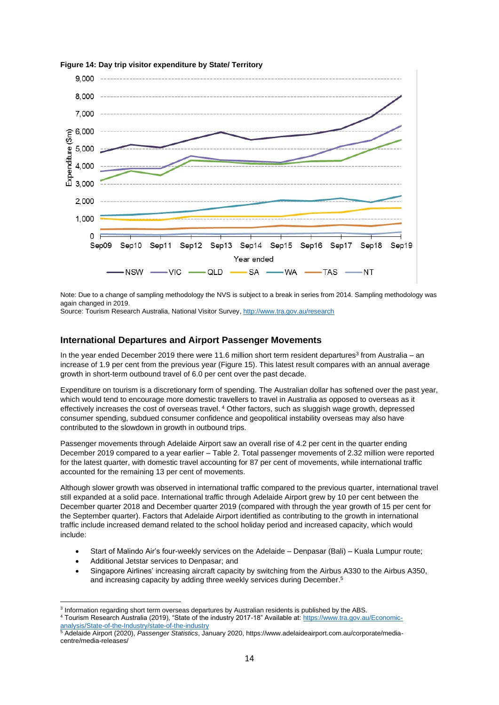

**Figure 14: Day trip visitor expenditure by State/ Territory**

Note: Due to a change of sampling methodology the NVS is subject to a break in series from 2014. Sampling methodology was again changed in 2019.

Source: Tourism Research Australia, National Visitor Survey, <http://www.tra.gov.au/research>

### **International Departures and Airport Passenger Movements**

In the year ended December 2019 there were 11.6 million short term resident departures<sup>3</sup> from Australia – an increase of 1.9 per cent from the previous year (Figure 15). This latest result compares with an annual average growth in short-term outbound travel of 6.0 per cent over the past decade.

Expenditure on tourism is a discretionary form of spending. The Australian dollar has softened over the past year, which would tend to encourage more domestic travellers to travel in Australia as opposed to overseas as it effectively increases the cost of overseas travel. <sup>4</sup> Other factors, such as sluggish wage growth, depressed consumer spending, subdued consumer confidence and geopolitical instability overseas may also have contributed to the slowdown in growth in outbound trips.

Passenger movements through Adelaide Airport saw an overall rise of 4.2 per cent in the quarter ending December 2019 compared to a year earlier – Table 2. Total passenger movements of 2.32 million were reported for the latest quarter, with domestic travel accounting for 87 per cent of movements, while international traffic accounted for the remaining 13 per cent of movements.

Although slower growth was observed in international traffic compared to the previous quarter, international travel still expanded at a solid pace. International traffic through Adelaide Airport grew by 10 per cent between the December quarter 2018 and December quarter 2019 (compared with through the year growth of 15 per cent for the September quarter). Factors that Adelaide Airport identified as contributing to the growth in international traffic include increased demand related to the school holiday period and increased capacity, which would include:

- Start of Malindo Air's four-weekly services on the Adelaide Denpasar (Bali) Kuala Lumpur route;
- Additional Jetstar services to Denpasar; and
- Singapore Airlines' increasing aircraft capacity by switching from the Airbus A330 to the Airbus A350, and increasing capacity by adding three weekly services during December. 5

<sup>3</sup> Information regarding short term overseas departures by Australian residents is published by the ABS.

<sup>4</sup> Tourism Research Australia (2019), "State of the industry 2017-18" Available at: [https://www.tra.gov.au/Economic](https://www.tra.gov.au/Economic-analysis/State-of-the-Industry/state-of-the-industry)[analysis/State-of-the-Industry/state-of-the-industry](https://www.tra.gov.au/Economic-analysis/State-of-the-Industry/state-of-the-industry)

<sup>5</sup> Adelaide Airport (2020), *Passenger Statistics*, January 2020, https://www.adelaideairport.com.au/corporate/mediacentre/media-releases/